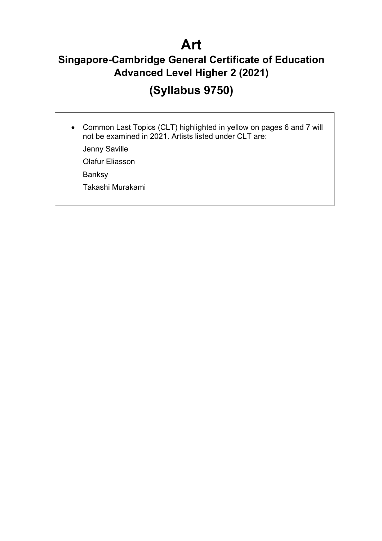# **Art**

### **Singapore-Cambridge General Certificate of Education Advanced Level Higher 2 (2021)**

# **(Syllabus 9750)**

• Common Last Topics (CLT) highlighted in yellow on pages 6 and 7 will not be examined in 2021. Artists listed under CLT are:

Jenny Saville

Olafur Eliasson

Banksy

Takashi Murakami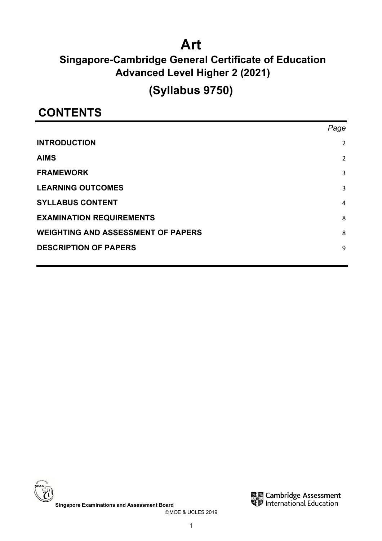# **Art**

### **Singapore-Cambridge General Certificate of Education Advanced Level Higher 2 (2021)**

# **(Syllabus 9750)**

## **CONTENTS**

|                                           | Page           |
|-------------------------------------------|----------------|
| <b>INTRODUCTION</b>                       | 2              |
| <b>AIMS</b>                               | $\overline{2}$ |
| <b>FRAMEWORK</b>                          | 3              |
| <b>LEARNING OUTCOMES</b>                  | 3              |
| <b>SYLLABUS CONTENT</b>                   | 4              |
| <b>EXAMINATION REQUIREMENTS</b>           | 8              |
| <b>WEIGHTING AND ASSESSMENT OF PAPERS</b> | 8              |
| <b>DESCRIPTION OF PAPERS</b>              | 9              |
|                                           |                |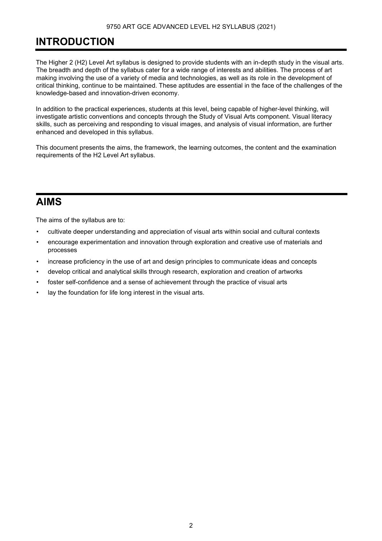### <span id="page-2-0"></span>**INTRODUCTION**

The Higher 2 (H2) Level Art syllabus is designed to provide students with an in-depth study in the visual arts. The breadth and depth of the syllabus cater for a wide range of interests and abilities. The process of art making involving the use of a variety of media and technologies, as well as its role in the development of critical thinking, continue to be maintained. These aptitudes are essential in the face of the challenges of the knowledge-based and innovation-driven economy.

In addition to the practical experiences, students at this level, being capable of higher-level thinking, will investigate artistic conventions and concepts through the Study of Visual Arts component. Visual literacy skills, such as perceiving and responding to visual images, and analysis of visual information, are further enhanced and developed in this syllabus.

This document presents the aims, the framework, the learning outcomes, the content and the examination requirements of the H2 Level Art syllabus.

### <span id="page-2-1"></span>**AIMS**

The aims of the syllabus are to:

- cultivate deeper understanding and appreciation of visual arts within social and cultural contexts
- encourage experimentation and innovation through exploration and creative use of materials and processes
- increase proficiency in the use of art and design principles to communicate ideas and concepts
- develop critical and analytical skills through research, exploration and creation of artworks
- foster self-confidence and a sense of achievement through the practice of visual arts
- lay the foundation for life long interest in the visual arts.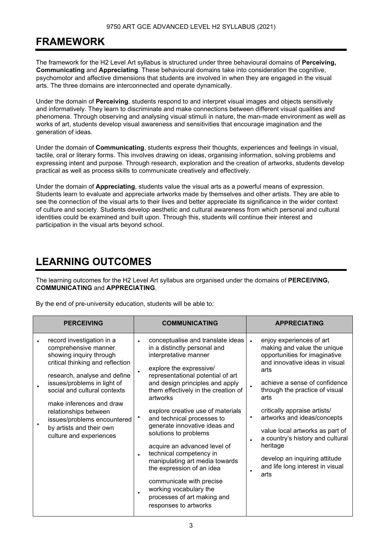### <span id="page-3-0"></span>**FRAMEWORK**

The framework for the H2 Level Art syllabus is structured under three behavioural domains of **Perceiving, Communicating** and **Appreciating**. These behavioural domains take into consideration the cognitive, psychomotor and affective dimensions that students are involved in when they are engaged in the visual arts. The three domains are interconnected and operate dynamically.

Under the domain of **Perceiving**, students respond to and interpret visual images and objects sensitively and informatively. They learn to discriminate and make connections between different visual qualities and phenomena. Through observing and analysing visual stimuli in nature, the man-made environment as well as works of art, students develop visual awareness and sensitivities that encourage imagination and the generation of ideas.

Under the domain of **Communicating**, students express their thoughts, experiences and feelings in visual, tactile, oral or literary forms. This involves drawing on ideas, organising information, solving problems and expressing intent and purpose. Through research, exploration and the creation of artworks, students develop practical as well as process skills to communicate creatively and effectively.

Under the domain of **Appreciating**, students value the visual arts as a powerful means of expression. Students learn to evaluate and appreciate artworks made by themselves and other artists. They are able to see the connection of the visual arts to their lives and better appreciate its significance in the wider context of culture and society. Students develop aesthetic and cultural awareness from which personal and cultural identities could be examined and built upon. Through this, students will continue their interest and participation in the visual arts beyond school.

### <span id="page-3-1"></span>**LEARNING OUTCOMES**

The learning outcomes for the H2 Level Art syllabus are organised under the domains of **PERCEIVING, COMMUNICATING** and **APPRECIATING**.

By the end of pre-university education, students will be able to:

| <b>PERCEIVING</b>                                                                                                                                                                                               | <b>COMMUNICATING</b>                                                                                                                                                                                                                                                                                                                                                                        | <b>APPRECIATING</b>                                                                                                                                                                                                         |
|-----------------------------------------------------------------------------------------------------------------------------------------------------------------------------------------------------------------|---------------------------------------------------------------------------------------------------------------------------------------------------------------------------------------------------------------------------------------------------------------------------------------------------------------------------------------------------------------------------------------------|-----------------------------------------------------------------------------------------------------------------------------------------------------------------------------------------------------------------------------|
| record investigation in a<br>comprehensive manner<br>showing inquiry through<br>critical thinking and reflection<br>research, analyse and define<br>issues/problems in light of<br>social and cultural contexts | conceptualise and translate ideas<br>$\bullet$<br>in a distinctly personal and<br>interpretative manner<br>explore the expressive/<br>$\bullet$<br>representational potential of art<br>and design principles and apply<br>them effectively in the creation of<br>artworks                                                                                                                  | enjoy experiences of art<br>making and value the unique<br>opportunities for imaginative<br>and innovative ideas in visual<br>arts<br>achieve a sense of confidence<br>through the practice of visual<br>arts               |
| make inferences and draw<br>relationships between<br>issues/problems encountered<br>by artists and their own<br>culture and experiences                                                                         | explore creative use of materials<br>and technical processes to<br>generate innovative ideas and<br>solutions to problems<br>acquire an advanced level of<br>technical competency in<br>$\bullet$<br>manipulating art media towards<br>the expression of an idea<br>communicate with precise<br>working vocabulary the<br>$\bullet$<br>processes of art making and<br>responses to artworks | critically appraise artists/<br>artworks and ideas/concepts<br>value local artworks as part of<br>a country's history and cultural<br>heritage<br>develop an inquiring attitude<br>and life long interest in visual<br>arts |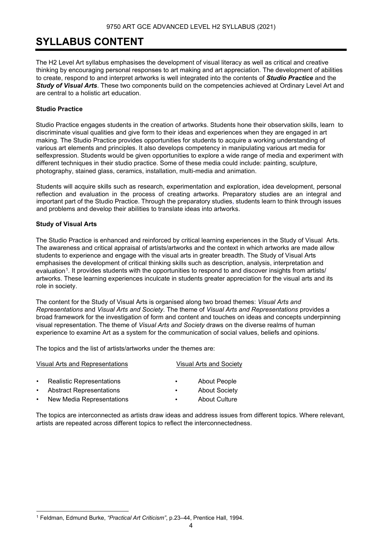### <span id="page-4-0"></span>**SYLLABUS CONTENT**

The H2 Level Art syllabus emphasises the development of visual literacy as well as critical and creative thinking by encouraging personal responses to art making and art appreciation. The development of abilities to create, respond to and interpret artworks is well integrated into the contents of *Studio Practice* and the *Study of Visual Arts*. These two components build on the competencies achieved at Ordinary Level Art and are central to a holistic art education.

### **Studio Practice**

Studio Practice engages students in the creation of artworks. Students hone their observation skills, learn to discriminate visual qualities and give form to their ideas and experiences when they are engaged in art making. The Studio Practice provides opportunities for students to acquire a working understanding of various art elements and principles. It also develops competency in manipulating various art media for selfexpression. Students would be given opportunities to explore a wide range of media and experiment with different techniques in their studio practice. Some of these media could include: painting, sculpture, photography, stained glass, ceramics, installation, multi-media and animation.

Students will acquire skills such as research, experimentation and exploration, idea development, personal reflection and evaluation in the process of creating artworks. Preparatory studies are an integral and important part of the Studio Practice. Through the preparatory studies, students learn to think through issues and problems and develop their abilities to translate ideas into artworks.

### **Study of Visual Arts**

The Studio Practice is enhanced and reinforced by critical learning experiences in the Study of Visual Arts. The awareness and critical appraisal of artists/artworks and the context in which artworks are made allow students to experience and engage with the visual arts in greater breadth. The Study of Visual Arts emphasises the development of critical thinking skills such as description, analysis, interpretation and evaluation<sup>[1](#page-4-1)</sup>. It provides students with the opportunities to respond to and discover insights from artists/ artworks. These learning experiences inculcate in students greater appreciation for the visual arts and its role in society.

The content for the Study of Visual Arts is organised along two broad themes: *Visual Arts and Representations* and *Visual Arts and Society*. The theme of *Visual Arts and Representations* provides a broad framework for the investigation of form and content and touches on ideas and concepts underpinning visual representation. The theme of *Visual Arts and Society* draws on the diverse realms of human experience to examine Art as a system for the communication of social values, beliefs and opinions.

The topics and the list of artists/artworks under the themes are:

| Visual Arts and Representations |                                  |           | <b>Visual Arts and Society</b> |
|---------------------------------|----------------------------------|-----------|--------------------------------|
| $\bullet$                       | <b>Realistic Representations</b> | ٠         | <b>About People</b>            |
| $\bullet$                       | <b>Abstract Representations</b>  | $\bullet$ | <b>About Society</b>           |
| $\bullet$                       | New Media Representations        | ٠         | <b>About Culture</b>           |

The topics are interconnected as artists draw ideas and address issues from different topics. Where relevant, artists are repeated across different topics to reflect the interconnectedness.

<span id="page-4-1"></span><sup>1</sup> Feldman, Edmund Burke, *"Practical Art Criticism"*, p.23–44, Prentice Hall, 1994.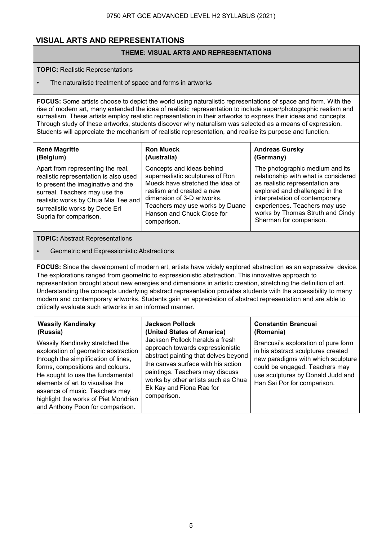### **VISUAL ARTS AND REPRESENTATIONS**

### **THEME: VISUAL ARTS AND REPRESENTATIONS**

### **TOPIC:** Realistic Representations

• The naturalistic treatment of space and forms in artworks

**FOCUS:** Some artists choose to depict the world using naturalistic representations of space and form. With the rise of modern art, many extended the idea of realistic representation to include super/photographic realism and surrealism. These artists employ realistic representation in their artworks to express their ideas and concepts. Through study of these artworks, students discover why naturalism was selected as a means of expression. Students will appreciate the mechanism of realistic representation, and realise its purpose and function.

### **René Magritte (Belgium)**

#### **Ron Mueck (Australia)**

Apart from representing the real, realistic representation is also used to present the imaginative and the surreal. Teachers may use the realistic works by Chua Mia Tee and surrealistic works by Dede Eri Supria for comparison.

Concepts and ideas behind superrealistic sculptures of Ron Mueck have stretched the idea of realism and created a new dimension of 3-D artworks. Teachers may use works by Duane Hanson and Chuck Close for comparison.

#### **Andreas Gursky (Germany)**

The photographic medium and its relationship with what is considered as realistic representation are explored and challenged in the interpretation of contemporary experiences. Teachers may use works by Thomas Struth and Cindy Sherman for comparison.

### **TOPIC:** Abstract Representations

### • Geometric and Expressionistic Abstractions

**FOCUS:** Since the development of modern art, artists have widely explored abstraction as an expressive device. The explorations ranged from geometric to expressionistic abstraction. This innovative approach to representation brought about new energies and dimensions in artistic creation, stretching the definition of art. Understanding the concepts underlying abstract representation provides students with the accessibility to many modern and contemporary artworks. Students gain an appreciation of abstract representation and are able to critically evaluate such artworks in an informed manner.

| <b>Wassily Kandinsky</b><br>(Russia)<br>Wassily Kandinsky stretched the<br>exploration of geometric abstraction<br>through the simplification of lines,<br>forms, compositions and colours.<br>He sought to use the fundamental<br>elements of art to visualise the<br>essence of music. Teachers may | <b>Jackson Pollock</b><br>(United States of America)<br>Jackson Pollock heralds a fresh<br>approach towards expressionistic<br>abstract painting that delves beyond<br>the canvas surface with his action<br>paintings. Teachers may discuss<br>works by other artists such as Chua<br>Ek Kay and Fiona Rae for | <b>Constantin Brancusi</b><br>(Romania)<br>Brancusi's exploration of pure form<br>in his abstract sculptures created<br>new paradigms with which sculpture<br>could be engaged. Teachers may<br>use sculptures by Donald Judd and<br>Han Sai Por for comparison. |
|-------------------------------------------------------------------------------------------------------------------------------------------------------------------------------------------------------------------------------------------------------------------------------------------------------|-----------------------------------------------------------------------------------------------------------------------------------------------------------------------------------------------------------------------------------------------------------------------------------------------------------------|------------------------------------------------------------------------------------------------------------------------------------------------------------------------------------------------------------------------------------------------------------------|
| highlight the works of Piet Mondrian<br>and Anthony Poon for comparison.                                                                                                                                                                                                                              | comparison.                                                                                                                                                                                                                                                                                                     |                                                                                                                                                                                                                                                                  |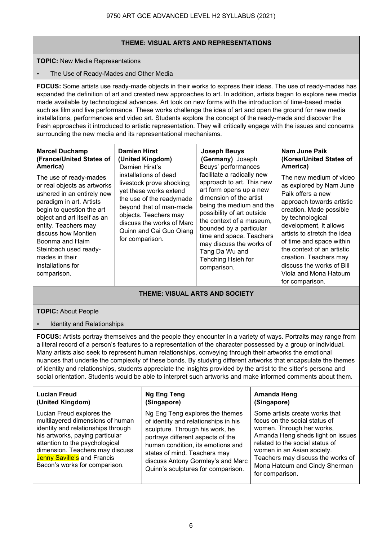### **THEME: VISUAL ARTS AND REPRESENTATIONS**

### **TOPIC:** New Media Representations

### • The Use of Ready-Mades and Other Media

**FOCUS:** Some artists use ready-made objects in their works to express their ideas. The use of ready-mades has expanded the definition of art and created new approaches to art. In addition, artists began to explore new media made available by technological advances. Art took on new forms with the introduction of time-based media such as film and live performance. These works challenge the idea of art and open the ground for new media installations, performances and video art. Students explore the concept of the ready-made and discover the fresh approaches it introduced to artistic representation. They will critically engage with the issues and concerns surrounding the new media and its representational mechanisms.

#### **Marcel Duchamp (France/United States of America)**

The use of ready-mades or real objects as artworks ushered in an entirely new paradigm in art. Artists begin to question the art object and art itself as an entity. Teachers may discuss how Montien Boonma and Haim Steinbach used readymades in their installations for comparison.

**(United Kingdom)**  Damien Hirst's installations of dead livestock prove shocking; yet these works extend the use of the readymade beyond that of man-made objects. Teachers may discuss the works of Marc Quinn and Cai Guo Qiang for comparison.

**Damien Hirst** 

**Joseph Beuys (Germany)** Joseph Beuys' performances facilitate a radically new approach to art. This new art form opens up a new dimension of the artist being the medium and the possibility of art outside the context of a museum, bounded by a particular time and space. Teachers may discuss the works of Tang Da Wu and Tehching Hsieh for comparison.

#### **Nam June Paik (Korea/United States of America)**

The new medium of video as explored by Nam June Paik offers a new approach towards artistic creation. Made possible by technological development, it allows artists to stretch the idea of time and space within the context of an artistic creation. Teachers may discuss the works of Bill Viola and Mona Hatoum for comparison.

### **THEME: VISUAL ARTS AND SOCIETY**

### **TOPIC:** About People

• Identity and Relationships

**FOCUS:** Artists portray themselves and the people they encounter in a variety of ways. Portraits may range from a literal record of a person's features to a representation of the character possessed by a group or individual. Many artists also seek to represent human relationships, conveying through their artworks the emotional nuances that underlie the complexity of these bonds. By studying different artworks that encapsulate the themes of identity and relationships, students appreciate the insights provided by the artist to the sitter's persona and social orientation. Students would be able to interpret such artworks and make informed comments about them.

### **Lucian Freud (United Kingdom)**

Lucian Freud explores the multilayered dimensions of human identity and relationships through his artworks, paying particular attention to the psychological dimension. Teachers may discuss Jenny Saville's and Francis Bacon's works for comparison.

#### **Ng Eng Teng (Singapore)**

Ng Eng Teng explores the themes of identity and relationships in his sculpture. Through his work, he portrays different aspects of the human condition, its emotions and states of mind. Teachers may discuss Antony Gormley's and Marc Quinn's sculptures for comparison.

### **Amanda Heng (Singapore)**

Some artists create works that focus on the social status of women. Through her works, Amanda Heng sheds light on issues related to the social status of women in an Asian society. Teachers may discuss the works of Mona Hatoum and Cindy Sherman for comparison.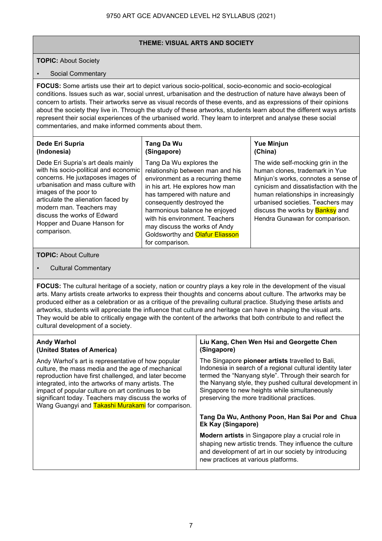### **THEME: VISUAL ARTS AND SOCIETY**

### **TOPIC:** About Society

### Social Commentary

**FOCUS:** Some artists use their art to depict various socio-political, socio-economic and socio-ecological conditions. Issues such as war, social unrest, urbanisation and the destruction of nature have always been of concern to artists. Their artworks serve as visual records of these events, and as expressions of their opinions about the society they live in. Through the study of these artworks, students learn about the different ways artists represent their social experiences of the urbanised world. They learn to interpret and analyse these social commentaries, and make informed comments about them.

#### **Dede Eri Supria (Indonesia)**  Dede Eri Supria's art deals mainly **Tang Da Wu (Singapore)** Tang Da Wu explores the **Yue Minjun (China)** The wide self-mocking grin in the

with his socio-political and economic concerns. He juxtaposes images of urbanisation and mass culture with images of the poor to articulate the alienation faced by modern man. Teachers may discuss the works of Edward Hopper and Duane Hanson for comparison.

relationship between man and his environment as a recurring theme in his art. He explores how man has tampered with nature and consequently destroyed the harmonious balance he enjoyed with his environment. Teachers may discuss the works of Andy Goldsworthy and **Olafur Eliasson** for comparison.

human clones, trademark in Yue Minjun's works, connotes a sense of cynicism and dissatisfaction with the human relationships in increasingly urbanised societies. Teachers may discuss the works by **Banksy** and Hendra Gunawan for comparison.

### **TOPIC:** About Culture

• Cultural Commentary

**FOCUS:** The cultural heritage of a society, nation or country plays a key role in the development of the visual arts. Many artists create artworks to express their thoughts and concerns about culture. The artworks may be produced either as a celebration or as a critique of the prevailing cultural practice. Studying these artists and artworks, students will appreciate the influence that culture and heritage can have in shaping the visual arts. They would be able to critically engage with the content of the artworks that both contribute to and reflect the cultural development of a society.

<span id="page-7-0"></span>

| <b>Andy Warhol</b><br>(United States of America)                                                                                                                                                                                                                                                                                                                                       | Liu Kang, Chen Wen Hsi and Georgette Chen<br>(Singapore)                                                                                                                                                                                                                                                                       |
|----------------------------------------------------------------------------------------------------------------------------------------------------------------------------------------------------------------------------------------------------------------------------------------------------------------------------------------------------------------------------------------|--------------------------------------------------------------------------------------------------------------------------------------------------------------------------------------------------------------------------------------------------------------------------------------------------------------------------------|
| Andy Warhol's art is representative of how popular<br>culture, the mass media and the age of mechanical<br>reproduction have first challenged, and later become<br>integrated, into the artworks of many artists. The<br>impact of popular culture on art continues to be<br>significant today. Teachers may discuss the works of<br>Wang Guangyi and Takashi Murakami for comparison. | The Singapore pioneer artists travelled to Bali,<br>Indonesia in search of a regional cultural identity later<br>termed the "Nanyang style". Through their search for<br>the Nanyang style, they pushed cultural development in<br>Singapore to new heights while simultaneously<br>preserving the more traditional practices. |
|                                                                                                                                                                                                                                                                                                                                                                                        | Tang Da Wu, Anthony Poon, Han Sai Por and Chua<br>Ek Kay (Singapore)                                                                                                                                                                                                                                                           |
|                                                                                                                                                                                                                                                                                                                                                                                        | <b>Modern artists</b> in Singapore play a crucial role in<br>shaping new artistic trends. They influence the culture<br>and development of art in our society by introducing<br>new practices at various platforms.                                                                                                            |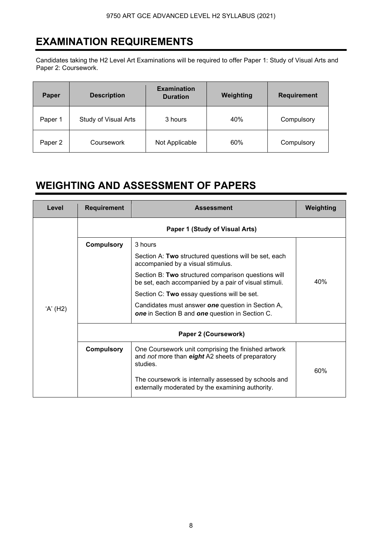## **EXAMINATION REQUIREMENTS**

Candidates taking the H2 Level Art Examinations will be required to offer Paper 1: Study of Visual Arts and Paper 2: Coursework.

| Paper   | <b>Description</b>          | <b>Examination</b><br><b>Duration</b> | Weighting | <b>Requirement</b> |
|---------|-----------------------------|---------------------------------------|-----------|--------------------|
| Paper 1 | <b>Study of Visual Arts</b> | 3 hours                               | 40%       | Compulsory         |
| Paper 2 | Coursework                  | Not Applicable                        | 60%       | Compulsory         |

### <span id="page-8-0"></span>**WEIGHTING AND ASSESSMENT OF PAPERS**

<span id="page-8-1"></span>

| Level    | <b>Requirement</b>             | <b>Assessment</b>                                                                                                   | Weighting |  |
|----------|--------------------------------|---------------------------------------------------------------------------------------------------------------------|-----------|--|
|          | Paper 1 (Study of Visual Arts) |                                                                                                                     |           |  |
|          | <b>Compulsory</b>              | 3 hours                                                                                                             |           |  |
| 'A' (H2) |                                | Section A: Two structured questions will be set, each<br>accompanied by a visual stimulus.                          |           |  |
|          |                                | Section B: Two structured comparison questions will<br>be set, each accompanied by a pair of visual stimuli.        | 40%       |  |
|          |                                | Section C: Two essay questions will be set.                                                                         |           |  |
|          |                                | Candidates must answer one question in Section A,<br><b>one</b> in Section B and <b>one</b> question in Section C.  |           |  |
|          | Paper 2 (Coursework)           |                                                                                                                     |           |  |
|          | <b>Compulsory</b>              | One Coursework unit comprising the finished artwork<br>and not more than eight A2 sheets of preparatory<br>studies. | 60%       |  |
|          |                                | The coursework is internally assessed by schools and<br>externally moderated by the examining authority.            |           |  |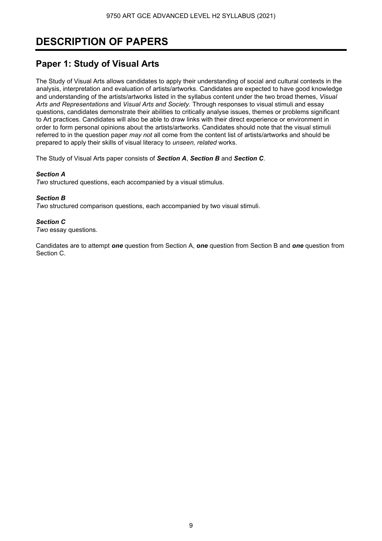## **DESCRIPTION OF PAPERS**

### **Paper 1: Study of Visual Arts**

The Study of Visual Arts allows candidates to apply their understanding of social and cultural contexts in the analysis, interpretation and evaluation of artists/artworks. Candidates are expected to have good knowledge and understanding of the artists/artworks listed in the syllabus content under the two broad themes, *Visual Arts and Representations* and *Visual Arts and Society.* Through responses to visual stimuli and essay questions, candidates demonstrate their abilities to critically analyse issues, themes or problems significant to Art practices. Candidates will also be able to draw links with their direct experience or environment in order to form personal opinions about the artists/artworks. Candidates should note that the visual stimuli referred to in the question paper *may not* all come from the content list of artists/artworks and should be prepared to apply their skills of visual literacy to *unseen, related* works.

The Study of Visual Arts paper consists of *Section A*, *Section B* and *Section C*.

### *Section A*

*Two* structured questions, each accompanied by a visual stimulus.

### *Section B*

*Two* structured comparison questions, each accompanied by two visual stimuli.

### *Section C*

*Two* essay questions.

Candidates are to attempt *one* question from Section A, *one* question from Section B and *one* question from Section C.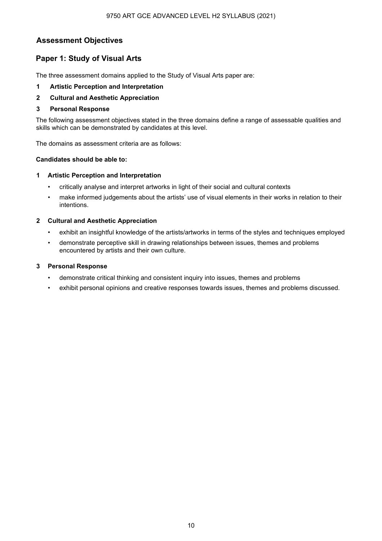### 9750 ART GCE ADVANCED LEVEL H2 SYLLABUS (2021)

### **Assessment Objectives**

### **Paper 1: Study of Visual Arts**

The three assessment domains applied to the Study of Visual Arts paper are:

- **1 Artistic Perception and Interpretation**
- **2 Cultural and Aesthetic Appreciation**

### **3 Personal Response**

The following assessment objectives stated in the three domains define a range of assessable qualities and skills which can be demonstrated by candidates at this level.

The domains as assessment criteria are as follows:

### **Candidates should be able to:**

### **1 Artistic Perception and Interpretation**

- critically analyse and interpret artworks in light of their social and cultural contexts
- make informed judgements about the artists' use of visual elements in their works in relation to their intentions.

### **2 Cultural and Aesthetic Appreciation**

- exhibit an insightful knowledge of the artists/artworks in terms of the styles and techniques employed
- demonstrate perceptive skill in drawing relationships between issues, themes and problems encountered by artists and their own culture.

### **3 Personal Response**

- demonstrate critical thinking and consistent inquiry into issues, themes and problems
- exhibit personal opinions and creative responses towards issues, themes and problems discussed.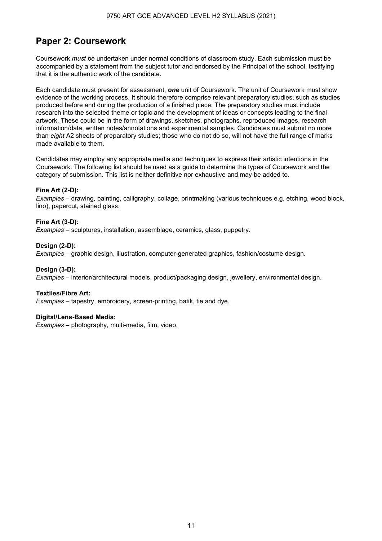### **Paper 2: Coursework**

Coursework *must be* undertaken under normal conditions of classroom study. Each submission must be accompanied by a statement from the subject tutor and endorsed by the Principal of the school, testifying that it is the authentic work of the candidate.

Each candidate must present for assessment, *one* unit of Coursework. The unit of Coursework must show evidence of the working process. It should therefore comprise relevant preparatory studies, such as studies produced before and during the production of a finished piece. The preparatory studies must include research into the selected theme or topic and the development of ideas or concepts leading to the final artwork. These could be in the form of drawings, sketches, photographs, reproduced images, research information/data, written notes/annotations and experimental samples. Candidates must submit no more than *eight* A2 sheets of preparatory studies; those who do not do so, will not have the full range of marks made available to them.

Candidates may employ any appropriate media and techniques to express their artistic intentions in the Coursework. The following list should be used as a guide to determine the types of Coursework and the category of submission. This list is neither definitive nor exhaustive and may be added to.

### **Fine Art (2-D):**

*Examples* – drawing, painting, calligraphy, collage, printmaking (various techniques e.g. etching, wood block, lino), papercut, stained glass.

### **Fine Art (3-D):**

*Examples* – sculptures, installation, assemblage, ceramics, glass, puppetry.

### **Design (2-D):**

*Examples* – graphic design, illustration, computer-generated graphics, fashion/costume design.

#### **Design (3-D):**

*Examples* – interior/architectural models, product/packaging design, jewellery, environmental design.

### **Textiles/Fibre Art:**

*Examples* – tapestry, embroidery, screen-printing, batik, tie and dye.

### **Digital/Lens-Based Media:**

*Examples* – photography, multi-media, film, video.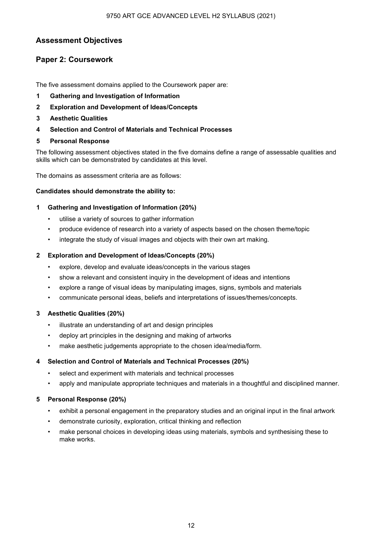### **Assessment Objectives**

### **Paper 2: Coursework**

The five assessment domains applied to the Coursework paper are:

- **1 Gathering and Investigation of Information**
- **2 Exploration and Development of Ideas/Concepts**
- **3 Aesthetic Qualities**
- **4 Selection and Control of Materials and Technical Processes**
- **5 Personal Response**

The following assessment objectives stated in the five domains define a range of assessable qualities and skills which can be demonstrated by candidates at this level.

The domains as assessment criteria are as follows:

### **Candidates should demonstrate the ability to:**

### **1 Gathering and Investigation of Information (20%)**

- utilise a variety of sources to gather information
- produce evidence of research into a variety of aspects based on the chosen theme/topic
- integrate the study of visual images and objects with their own art making.

### **2 Exploration and Development of Ideas/Concepts (20%)**

- explore, develop and evaluate ideas/concepts in the various stages
- show a relevant and consistent inquiry in the development of ideas and intentions
- explore a range of visual ideas by manipulating images, signs, symbols and materials
- communicate personal ideas, beliefs and interpretations of issues/themes/concepts.

### **3 Aesthetic Qualities (20%)**

- illustrate an understanding of art and design principles
- deploy art principles in the designing and making of artworks
- make aesthetic judgements appropriate to the chosen idea/media/form.

### **4 Selection and Control of Materials and Technical Processes (20%)**

- select and experiment with materials and technical processes
- apply and manipulate appropriate techniques and materials in a thoughtful and disciplined manner.

### **5 Personal Response (20%)**

- exhibit a personal engagement in the preparatory studies and an original input in the final artwork
- demonstrate curiosity, exploration, critical thinking and reflection
- make personal choices in developing ideas using materials, symbols and synthesising these to make works.